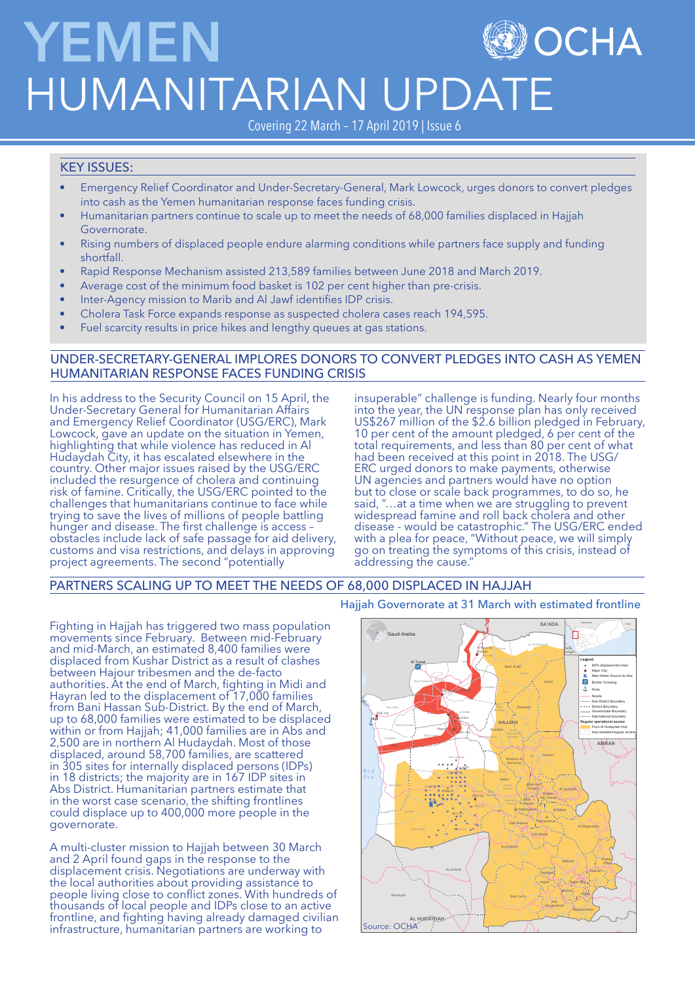# **YEMEN OCHA** HUMANITARIAN UPDATE

Covering 22 March – 17 April 2019 | Issue 6

## KEY ISSUES:

- Emergency Relief Coordinator and Under-Secretary-General, Mark Lowcock, urges donors to convert pledges into cash as the Yemen humanitarian response faces funding crisis.
- Humanitarian partners continue to scale up to meet the needs of 68,000 families displaced in Hajjah Governorate.
- Rising numbers of displaced people endure alarming conditions while partners face supply and funding shortfall.
- Rapid Response Mechanism assisted 213,589 families between June 2018 and March 2019.
- Average cost of the minimum food basket is 102 per cent higher than pre-crisis.
- Inter-Agency mission to Marib and Al Jawf identifies IDP crisis.
- Cholera Task Force expands response as suspected cholera cases reach 194,595.
- Fuel scarcity results in price hikes and lengthy queues at gas stations.

## UNDER-SECRETARY-GENERAL IMPLORES DONORS TO CONVERT PLEDGES INTO CASH AS YEMEN HUMANITARIAN RESPONSE FACES FUNDING CRISIS

In his address to the Security Council on 15 April, the Under-Secretary General for Humanitarian Affairs and Emergency Relief Coordinator (USG/ERC), Mark Lowcock, gave an update on the situation in Yemen, highlighting that while violence has reduced in Al Hudaydah City, it has escalated elsewhere in the country. Other major issues raised by the USG/ERC included the resurgence of cholera and continuing risk of famine. Critically, the USG/ERC pointed to the challenges that humanitarians continue to face while trying to save the lives of millions of people battling hunger and disease. The first challenge is access obstacles include lack of safe passage for aid delivery, customs and visa restrictions, and delays in approving project agreements. The second "potentially

insuperable" challenge is funding. Nearly four months into the year, the UN response plan has only received US\$267 million of the \$2.6 billion pledged in February, 10 per cent of the amount pledged, 6 per cent of the total requirements, and less than 80 per cent of what had been received at this point in 2018. The USG/ ERC urged donors to make payments, otherwise UN agencies and partners would have no option but to close or scale back programmes, to do so, he said, "…at a time when we are struggling to prevent widespread famine and roll back cholera and other disease - would be catastrophic." The USG/ERC ended with a plea for peace, "Without peace, we will simply go on treating the symptoms of this crisis, instead of addressing the cause.

## PARTNERS SCALING UP TO MEET THE NEEDS OF 68,000 DISPLACED IN HAJJAH

Fighting in Hajjah has triggered two mass population movements since February. Between mid-February and mid-March, an estimated 8,400 families were displaced from Kushar District as a result of clashes between Hajour tribesmen and the de-facto authorities. At the end of March, fighting in Midi and Hayran led to the displacement of 17,000 families from Bani Hassan Sub-District. By the end of March, up to 68,000 families were estimated to be displaced within or from Hajjah; 41,000 families are in Abs and 2,500 are in northern Al Hudaydah. Most of those displaced, around 58,700 families, are scattered in 305 sites for internally displaced persons (IDPs) in 18 districts; the majority are in 167 IDP sites in Abs District. Humanitarian partners estimate that in the worst case scenario, the shifting frontlines could displace up to 400,000 more people in the governorate.

A multi-cluster mission to Hajjah between 30 March and 2 April found gaps in the response to the displacement crisis. Negotiations are underway with the local authorities about providing assistance to people living close to conflict zones. With hundreds of thousands of local people and IDPs close to an active frontline, and fighting having already damaged civilian infrastructure, humanitarian partners are working to

## Hajjah Governorate at 31 March with estimated frontline

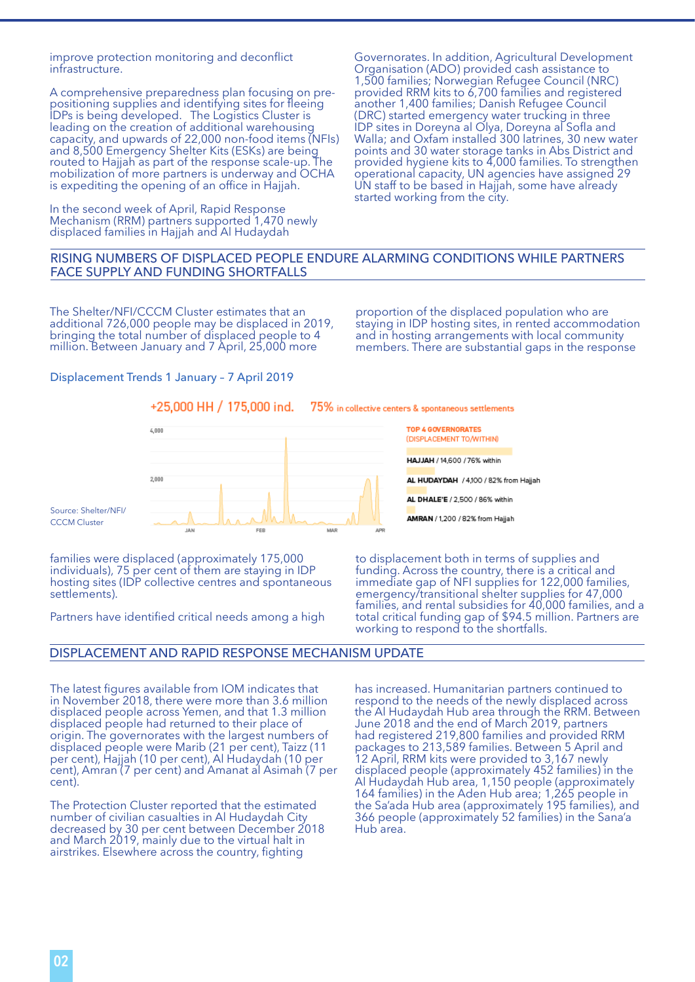improve protection monitoring and deconflict infrastructure.

A comprehensive preparedness plan focusing on prepositioning supplies and identifying sites for fleeing IDPs is being developed. The Logistics Cluster is leading on the creation of additional warehousing capacity, and upwards of 22,000 non-food items (NFIs) and 8,500 Emergency Shelter Kits (ESKs) are being routed to Hajjah as part of the response scale-up. The mobilization of more partners is underway and OCHA is expediting the opening of an office in Hajjah.

In the second week of April, Rapid Response Mechanism (RRM) partners supported 1,470 newly displaced families in Hajjah and Al Hudaydah

Governorates. In addition, Agricultural Development Organisation (ADO) provided cash assistance to 1,500 families; Norwegian Refugee Council (NRC) provided RRM kits to 6,700 families and registered another 1,400 families; Danish Refugee Council (DRC) started emergency water trucking in three IDP sites in Doreyna al Olya, Doreyna al Sofla and Walla; and Oxfam installed 300 latrines, 30 new water points and 30 water storage tanks in Abs District and provided hygiene kits to 4,000 families. To strengthen operational capacity, UN agencies have assigned 29 UN staff to be based in Hajjah, some have already started working from the city.

### RISING NUMBERS OF DISPLACED PEOPLE ENDURE ALARMING CONDITIONS WHILE PARTNERS FACE SUPPLY AND FUNDING SHORTFALLS

The Shelter/NFI/CCCM Cluster estimates that an additional 726,000 people may be displaced in 2019, bringing the total number of displaced people to 4 million. Between January and 7 April, 25,000 more

proportion of the displaced population who are staying in IDP hosting sites, in rented accommodation and in hosting arrangements with local community members. There are substantial gaps in the response

#### Displacement Trends 1 January – 7 April 2019

Source: Shelter/NFI/ **CCCM** Cluster

#### +25,000 HH / 175,000 ind. 75% in collective centers & spontaneous settlements



families were displaced (approximately 175,000 individuals), 75 per cent of them are staying in IDP hosting sites (IDP collective centres and spontaneous settlements).

Partners have identified critical needs among a high

**TOP 4 GOVERNORATES** (DISPLACEMENT TO/WITHIN) HAJJAH / 14,600 / 76% within AL HUDAYDAH / 4,100 / 82% from Hajjah

AL DHALE'E / 2,500 / 86% within

AMRAN / 1,200 / 82% from Hajjah

to displacement both in terms of supplies and funding. Across the country, there is a critical and immediate gap of NFI supplies for 122,000 families, emergency/transitional shelter supplies for 47,000 families, and rental subsidies for 40,000 families, and a total critical funding gap of \$94.5 million. Partners are working to respond to the shortfalls.

#### DISPLACEMENT AND RAPID RESPONSE MECHANISM UPDATE

The latest figures available from IOM indicates that in November 2018, there were more than 3.6 million displaced people across Yemen, and that 1.3 million displaced people had returned to their place of origin. The governorates with the largest numbers of displaced people were Marib (21 per cent), Taizz (11 per cent), Hajjah (10 per cent), Al Hudaydah (10 per cent), Amran (7 per cent) and Amanat al Asimah (7 per cent).

The Protection Cluster reported that the estimated number of civilian casualties in Al Hudaydah City decreased by 30 per cent between December 2018 and March 2019, mainly due to the virtual halt in airstrikes. Elsewhere across the country, fighting

has increased. Humanitarian partners continued to respond to the needs of the newly displaced across the Al Hudaydah Hub area through the RRM. Between June 2018 and the end of March 2019, partners had registered 219,800 families and provided RRM packages to 213,589 families. Between 5 April and 12 April, RRM kits were provided to 3,167 newly displaced people (approximately 452 families) in the Al Hudaydah Hub area, 1,150 people (approximately 164 families) in the Aden Hub area; 1,265 people in the Sa'ada Hub area (approximately 195 families), and 366 people (approximately 52 families) in the Sana'a Hub area.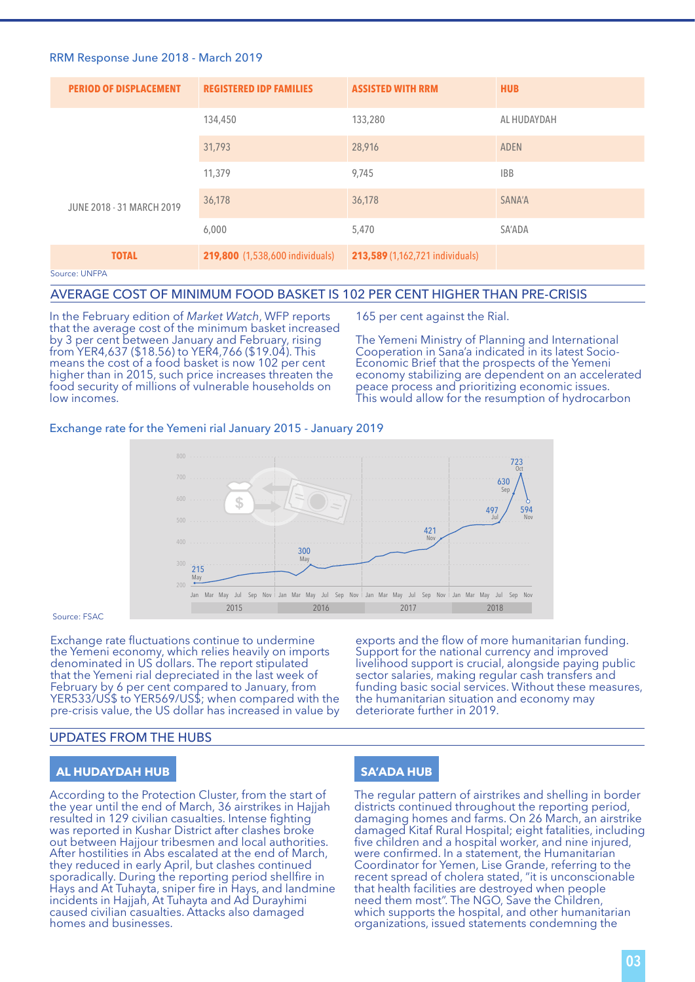#### RRM Response June 2018 - March 2019

| <b>PERIOD OF DISPLACEMENT</b> | <b>REGISTERED IDP FAMILIES</b>         | <b>ASSISTED WITH RRM</b>        | <b>HUB</b>  |
|-------------------------------|----------------------------------------|---------------------------------|-------------|
|                               | 134,450                                | 133,280                         | AL HUDAYDAH |
|                               | 31,793                                 | 28,916                          | <b>ADEN</b> |
| JUNE 2018 - 31 MARCH 2019     | 11,379                                 | 9,745                           | <b>IBB</b>  |
|                               | 36,178                                 | 36,178                          | SANA'A      |
|                               | 6,000                                  | 5,470                           | SA'ADA      |
| <b>TOTAL</b>                  | <b>219,800</b> (1,538,600 individuals) | 213,589 (1,162,721 individuals) |             |
| Source: UNFPA                 |                                        |                                 |             |

#### AVERAGE COST OF MINIMUM FOOD BASKET IS 102 PER CENT HIGHER THAN PRE-CRISIS

In the February edition of *Market Watch*, WFP reports that the average cost of the minimum basket increased by 3 per cent between January and February, rising from YER4,637 (\$18.56) to YER4,766 (\$19.04). This means the cost of a food basket is now 102 per cent higher than in 2015, such price increases threaten the food security of millions of vulnerable households on low incomes.

165 per cent against the Rial.

The Yemeni Ministry of Planning and International Cooperation in Sana'a indicated in its latest Socio-Economic Brief that the prospects of the Yemeni economy stabilizing are dependent on an accelerated peace process and prioritizing economic issues. This would allow for the resumption of hydrocarbon

#### Exchange rate for the Yemeni rial January 2015 - January 2019



#### Source: FSAC

Exchange rate fluctuations continue to undermine the Yemeni economy, which relies heavily on imports denominated in US dollars. The report stipulated that the Yemeni rial depreciated in the last week of February by 6 per cent compared to January, from YER533/US\$ to YER569/US\$; when compared with the pre-crisis value, the US dollar has increased in value by

exports and the flow of more humanitarian funding. Support for the national currency and improved livelihood support is crucial, alongside paying public sector salaries, making regular cash transfers and funding basic social services. Without these measures, the humanitarian situation and economy may deteriorate further in 2019.

#### UPDATES FROM THE HUBS

## **AL HUDAYDAH HUB**

According to the Protection Cluster, from the start of the year until the end of March, 36 airstrikes in Hajjah resulted in 129 civilian casualties. Intense fighting was reported in Kushar District after clashes broke out between Hajjour tribesmen and local authorities. After hostilities in Abs escalated at the end of March, they reduced in early April, but clashes continued sporadically. During the reporting period shellfire in Hays and At Tuhayta, sniper fire in Hays, and landmine incidents in Hajjah, At Tuhayta and Ad Durayhimi caused civilian casualties. Attacks also damaged homes and businesses.

### **SA'ADA HUB**

The regular pattern of airstrikes and shelling in border districts continued throughout the reporting period, damaging homes and farms. On 26 March, an airstrike damaged Kitaf Rural Hospital; eight fatalities, including five children and a hospital worker, and nine injured, were confirmed. In a statement, the Humanitarian Coordinator for Yemen, Lise Grande, referring to the recent spread of cholera stated, "it is unconscionable that health facilities are destroyed when people need them most". The NGO, Save the Children, which supports the hospital, and other humanitarian organizations, issued statements condemning the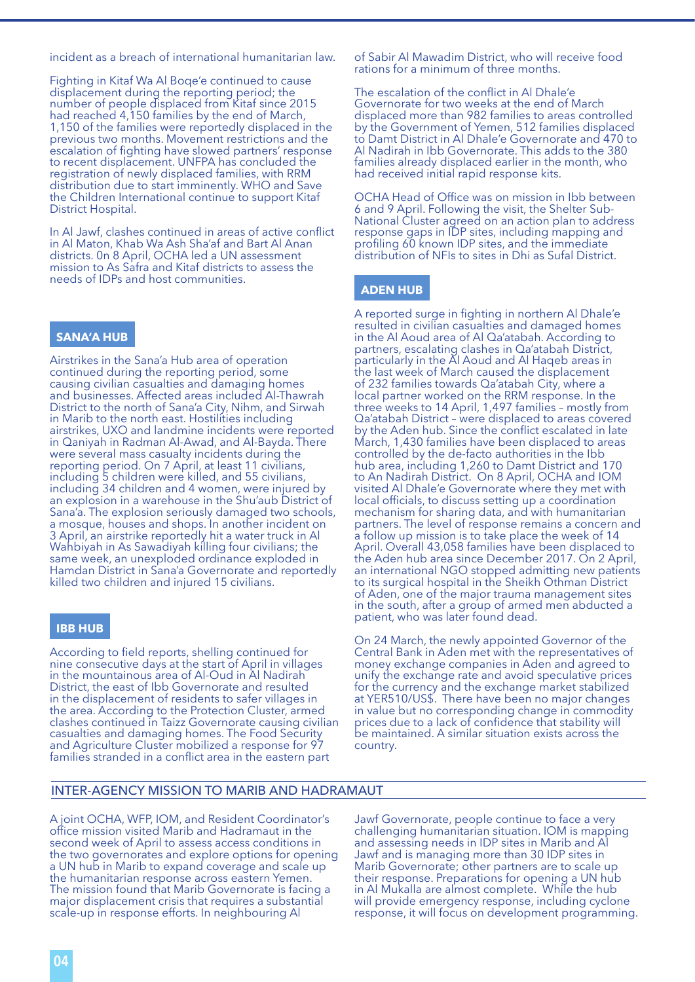incident as a breach of international humanitarian law.

Fighting in Kitaf Wa Al Boqe'e continued to cause displacement during the reporting period; the number of people displaced from Kitaf since 2015 had reached 4,150 families by the end of March, 1,150 of the families were reportedly displaced in the previous two months. Movement restrictions and the escalation of fighting have slowed partners' response to recent displacement. UNFPA has concluded the registration of newly displaced families, with RRM distribution due to start imminently. WHO and Save the Children International continue to support Kitaf District Hospital.

In Al Jawf, clashes continued in areas of active conflict in Al Maton, Khab Wa Ash Sha'af and Bart Al Anan districts. 0n 8 April, OCHA led a UN assessment mission to As Safra and Kitaf districts to assess the needs of IDPs and host communities.

#### **SANA'A HUB**

Airstrikes in the Sana'a Hub area of operation continued during the reporting period, some causing civilian casualties and damaging homes and businesses. Affected areas included Al-Thawrah District to the north of Sana'a City, Nihm, and Sirwah in Marib to the north east. Hostilities including airstrikes, UXO and landmine incidents were reported in Qaniyah in Radman Al-Awad, and Al-Bayda. There were several mass casualty incidents during the reporting period. On 7 April, at least 11 civilians, including 5 children were killed, and 55 civilians, including 34 children and 4 women, were injured by an explosion in a warehouse in the Shu'aub District of Sana'a. The explosion seriously damaged two schools, a mosque, houses and shops. In another incident on 3 April, an airstrike reportedly hit a water truck in Al Wahbiyah in As Sawadiyah killing four civilians; the same week, an unexploded ordinance exploded in Hamdan District in Sana'a Governorate and reportedly killed two children and injured 15 civilians.

#### **IBB HUB**

According to field reports, shelling continued for nine consecutive days at the start of April in villages in the mountainous area of Al-Oud in Al Nadirah District, the east of Ibb Governorate and resulted in the displacement of residents to safer villages in the area. According to the Protection Cluster, armed clashes continued in Taizz Governorate causing civilian casualties and damaging homes. The Food Security and Agriculture Cluster mobilized a response for 97 families stranded in a conflict area in the eastern part

of Sabir Al Mawadim District, who will receive food rations for a minimum of three months.

The escalation of the conflict in Al Dhale'e Governorate for two weeks at the end of March displaced more than 982 families to areas controlled by the Government of Yemen, 512 families displaced to Damt District in Al Dhale'e Governorate and 470 to Al Nadirah in Ibb Governorate. This adds to the 380 families already displaced earlier in the month, who had received initial rapid response kits.

OCHA Head of Office was on mission in Ibb between 6 and 9 April. Following the visit, the Shelter Sub-National Cluster agreed on an action plan to address response gaps in IDP sites, including mapping and profiling 60 known IDP sites, and the immediate distribution of NFIs to sites in Dhi as Sufal District.

#### **ADEN HUB**

A reported surge in fighting in northern Al Dhale'e resulted in civilian casualties and damaged homes in the Al Aoud area of Al Qa'atabah. According to partners, escalating clashes in Qa'atabah District, particularly in the Al Aoud and Al Haqeb areas in the last week of March caused the displacement of 232 families towards Qa'atabah City, where a local partner worked on the RRM response. In the three weeks to 14 April, 1,497 families – mostly from Qa'atabah District – were displaced to areas covered by the Aden hub. Since the conflict escalated in late March, 1,430 families have been displaced to areas controlled by the de-facto authorities in the Ibb hub area, including 1,260 to Damt District and 170 to An Nadirah District. On 8 April, OCHA and IOM visited Al Dhale'e Governorate where they met with local officials, to discuss setting up a coordination mechanism for sharing data, and with humanitarian partners. The level of response remains a concern and a follow up mission is to take place the week of 14 April. Overall 43,058 families have been displaced to the Aden hub area since December 2017. On 2 April, an international NGO stopped admitting new patients to its surgical hospital in the Sheikh Othman District of Aden, one of the major trauma management sites in the south, after a group of armed men abducted a patient, who was later found dead.

On 24 March, the newly appointed Governor of the Central Bank in Aden met with the representatives of money exchange companies in Aden and agreed to unify the exchange rate and avoid speculative prices for the currency and the exchange market stabilized at YER510/US\$. There have been no major changes in value but no corresponding change in commodity prices due to a lack of confidence that stability will be maintained. A similar situation exists across the country.

### INTER-AGENCY MISSION TO MARIB AND HADRAMAUT

A joint OCHA, WFP, IOM, and Resident Coordinator's office mission visited Marib and Hadramaut in the second week of April to assess access conditions in the two governorates and explore options for opening a UN hub in Marib to expand coverage and scale up the humanitarian response across eastern Yemen. The mission found that Marib Governorate is facing a major displacement crisis that requires a substantial scale-up in response efforts. In neighbouring Al

Jawf Governorate, people continue to face a very challenging humanitarian situation. IOM is mapping and assessing needs in IDP sites in Marib and Al Jawf and is managing more than 30 IDP sites in Marib Governorate; other partners are to scale up their response. Preparations for opening a UN hub in Al Mukalla are almost complete. While the hub will provide emergency response, including cyclone response, it will focus on development programming.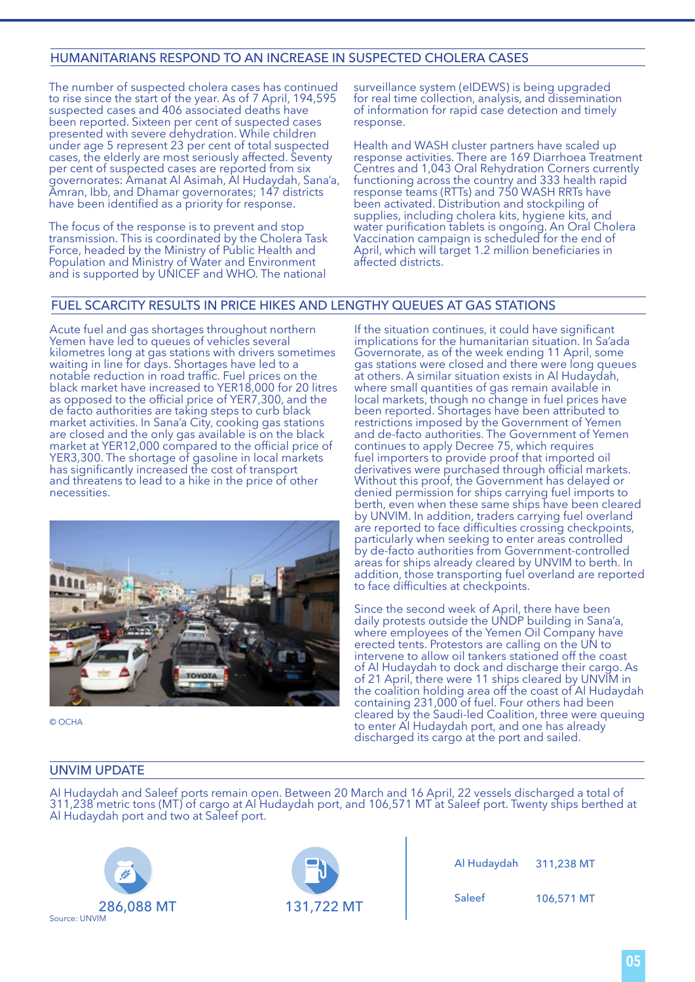## HUMANITARIANS RESPOND TO AN INCREASE IN SUSPECTED CHOLERA CASES

The number of suspected cholera cases has continued to rise since the start of the year. As of 7 April, 194,595 suspected cases and 406 associated deaths have been reported. Sixteen per cent of suspected cases presented with severe dehydration. While children under age 5 represent 23 per cent of total suspected cases, the elderly are most seriously affected. Seventy per cent of suspected cases are reported from six governorates: Amanat Al Asimah, Al Hudaydah, Sana'a, Amran, Ibb, and Dhamar governorates; 147 districts have been identified as a priority for response.

The focus of the response is to prevent and stop transmission. This is coordinated by the Cholera Task Force, headed by the Ministry of Public Health and Population and Ministry of Water and Environment and is supported by UNICEF and WHO. The national

surveillance system (eIDEWS) is being upgraded for real time collection, analysis, and dissemination of information for rapid case detection and timely response.

Health and WASH cluster partners have scaled up response activities. There are 169 Diarrhoea Treatment Centres and 1,043 Oral Rehydration Corners currently functioning across the country and 333 health rapid response teams (RTTs) and 750 WASH RRTs have been activated. Distribution and stockpiling of supplies, including cholera kits, hygiene kits, and water purification tablets is ongoing. An Oral Cholera Vaccination campaign is scheduled for the end of April, which will target 1.2 million beneficiaries in affected districts.

## FUEL SCARCITY RESULTS IN PRICE HIKES AND LENGTHY QUEUES AT GAS STATIONS

Acute fuel and gas shortages throughout northern Yemen have led to queues of vehicles several kilometres long at gas stations with drivers sometimes waiting in line for days. Shortages have led to a notable reduction in road traffic. Fuel prices on the black market have increased to YER18,000 for 20 litres as opposed to the official price of YER7,300, and the de facto authorities are taking steps to curb black market activities. In Sana'a City, cooking gas stations are closed and the only gas available is on the black market at YER12,000 compared to the official price of YER3,300. The shortage of gasoline in local markets has significantly increased the cost of transport and threatens to lead to a hike in the price of other necessities.



© OCHA

If the situation continues, it could have significant implications for the humanitarian situation. In Sa'ada Governorate, as of the week ending 11 April, some gas stations were closed and there were long queues at others. A similar situation exists in Al Hudaydah, where small quantities of gas remain available in local markets, though no change in fuel prices have been reported. Shortages have been attributed to restrictions imposed by the Government of Yemen and de-facto authorities. The Government of Yemen continues to apply Decree 75, which requires fuel importers to provide proof that imported oil derivatives were purchased through official markets. Without this proof, the Government has delayed or denied permission for ships carrying fuel imports to berth, even when these same ships have been cleared by UNVIM. In addition, traders carrying fuel overland are reported to face difficulties crossing checkpoints, particularly when seeking to enter areas controlled by de-facto authorities from Government-controlled areas for ships already cleared by UNVIM to berth. In addition, those transporting fuel overland are reported to face difficulties at checkpoints.

Since the second week of April, there have been daily protests outside the UNDP building in Sana'a, where employees of the Yemen Oil Company have erected tents. Protestors are calling on the UN to intervene to allow oil tankers stationed off the coast of Al Hudaydah to dock and discharge their cargo. As of 21 April, there were 11 ships cleared by UNVIM in the coalition holding area off the coast of Al Hudaydah containing 231,000 of fuel. Four others had been cleared by the Saudi-led Coalition, three were queuing to enter Al Hudaydah port, and one has already discharged its cargo at the port and sailed.

## UNVIM UPDATE

Al Hudaydah and Saleef ports remain open. Between 20 March and 16 April, 22 vessels discharged a total of 311,238 metric tons (MT) of cargo at Al Hudaydah port, and 106,571 MT at Saleef port. Twenty ships berthed at Al Hudaydah port and two at Saleef port.





| المخطو     | $\blacksquare$ | Al Hudaydah 311,238 MT |            |
|------------|----------------|------------------------|------------|
| 286,088 MT | 131,722 MT     | Saleef                 | 106,571 MT |